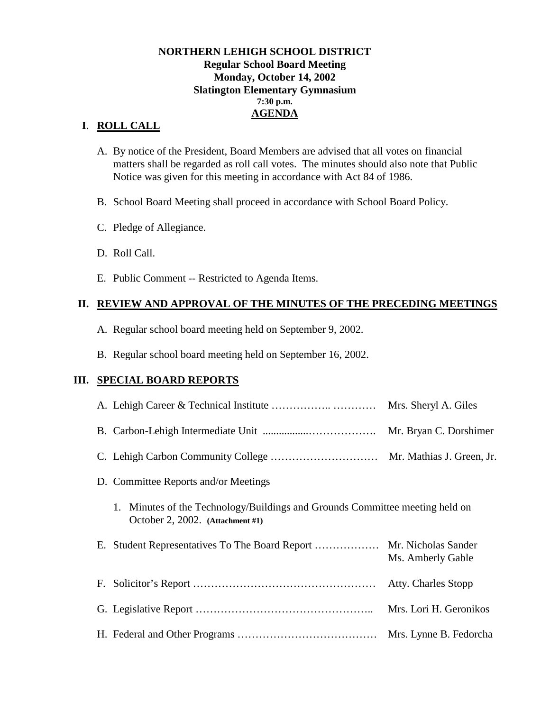### **NORTHERN LEHIGH SCHOOL DISTRICT Regular School Board Meeting Monday, October 14, 2002 Slatington Elementary Gymnasium 7:30 p.m. AGENDA**

# **I**. **ROLL CALL**

- A. By notice of the President, Board Members are advised that all votes on financial matters shall be regarded as roll call votes. The minutes should also note that Public Notice was given for this meeting in accordance with Act 84 of 1986.
- B. School Board Meeting shall proceed in accordance with School Board Policy.
- C. Pledge of Allegiance.
- D. Roll Call.
- E. Public Comment -- Restricted to Agenda Items.

## **II. REVIEW AND APPROVAL OF THE MINUTES OF THE PRECEDING MEETINGS**

- A. Regular school board meeting held on September 9, 2002.
- B. Regular school board meeting held on September 16, 2002.

## **III. SPECIAL BOARD REPORTS**

|                                                                                                                  | Mrs. Sheryl A. Giles                     |
|------------------------------------------------------------------------------------------------------------------|------------------------------------------|
|                                                                                                                  | Mr. Bryan C. Dorshimer                   |
|                                                                                                                  |                                          |
| D. Committee Reports and/or Meetings                                                                             |                                          |
| 1. Minutes of the Technology/Buildings and Grounds Committee meeting held on<br>October 2, 2002. (Attachment #1) |                                          |
|                                                                                                                  | Mr. Nicholas Sander<br>Ms. Amberly Gable |
|                                                                                                                  | Atty. Charles Stopp                      |
|                                                                                                                  | Mrs. Lori H. Geronikos                   |
|                                                                                                                  | Mrs. Lynne B. Fedorcha                   |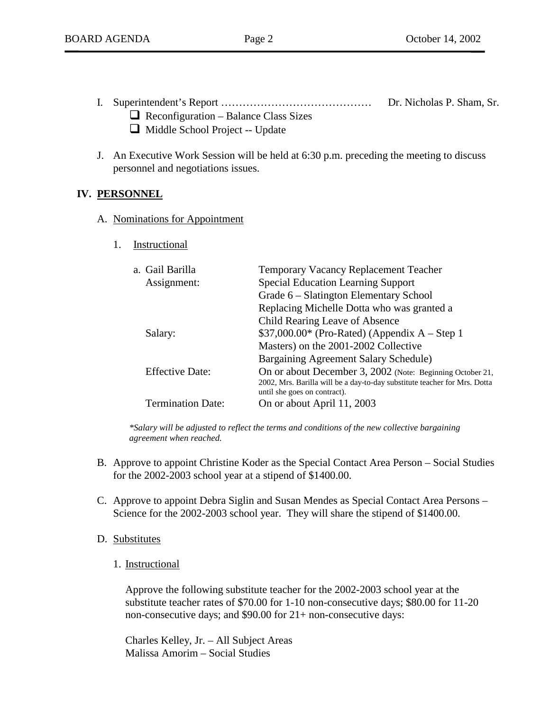- I. Superintendent's Report …………………………………… Dr. Nicholas P. Sham, Sr.  $\Box$  Reconfiguration – Balance Class Sizes
	- ! Middle School Project -- Update
- J. An Executive Work Session will be held at 6:30 p.m. preceding the meeting to discuss personnel and negotiations issues.

### **IV. PERSONNEL**

- A. Nominations for Appointment
	- 1. Instructional

| a. Gail Barilla<br>Assignment: | <b>Temporary Vacancy Replacement Teacher</b><br><b>Special Education Learning Support</b>                                                                              |
|--------------------------------|------------------------------------------------------------------------------------------------------------------------------------------------------------------------|
|                                | Grade 6 – Slatington Elementary School                                                                                                                                 |
|                                | Replacing Michelle Dotta who was granted a                                                                                                                             |
|                                | Child Rearing Leave of Absence                                                                                                                                         |
| Salary:                        | $$37,000.00*$ (Pro-Rated) (Appendix A – Step 1                                                                                                                         |
|                                | Masters) on the 2001-2002 Collective                                                                                                                                   |
|                                | Bargaining Agreement Salary Schedule)                                                                                                                                  |
| <b>Effective Date:</b>         | On or about December 3, 2002 (Note: Beginning October 21,<br>2002, Mrs. Barilla will be a day-to-day substitute teacher for Mrs. Dotta<br>until she goes on contract). |
| <b>Termination Date:</b>       | On or about April 11, 2003                                                                                                                                             |

*\*Salary will be adjusted to reflect the terms and conditions of the new collective bargaining agreement when reached.* 

- B. Approve to appoint Christine Koder as the Special Contact Area Person Social Studies for the 2002-2003 school year at a stipend of \$1400.00.
- C. Approve to appoint Debra Siglin and Susan Mendes as Special Contact Area Persons Science for the 2002-2003 school year. They will share the stipend of \$1400.00.
- D. Substitutes
	- 1. Instructional

Approve the following substitute teacher for the 2002-2003 school year at the substitute teacher rates of \$70.00 for 1-10 non-consecutive days; \$80.00 for 11-20 non-consecutive days; and \$90.00 for 21+ non-consecutive days:

 Charles Kelley, Jr. – All Subject Areas Malissa Amorim – Social Studies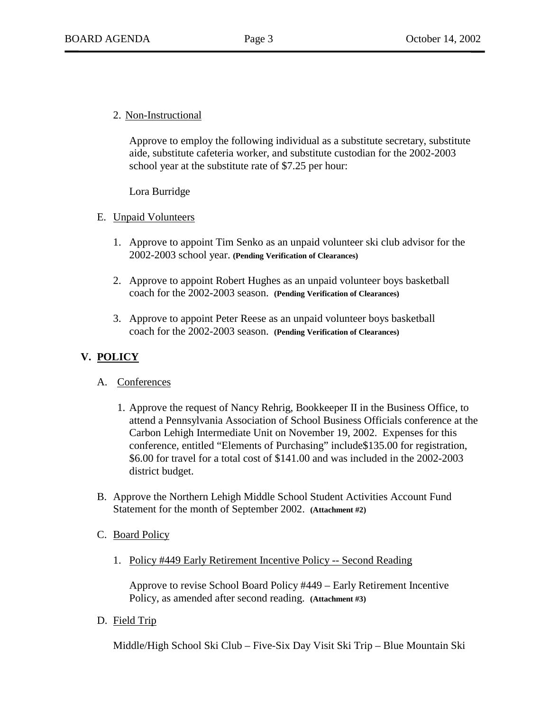2. Non-Instructional

Approve to employ the following individual as a substitute secretary, substitute aide, substitute cafeteria worker, and substitute custodian for the 2002-2003 school year at the substitute rate of \$7.25 per hour:

Lora Burridge

- E. Unpaid Volunteers
	- 1. Approve to appoint Tim Senko as an unpaid volunteer ski club advisor for the 2002-2003 school year. **(Pending Verification of Clearances)**
	- 2. Approve to appoint Robert Hughes as an unpaid volunteer boys basketball coach for the 2002-2003 season. **(Pending Verification of Clearances)**
	- 3. Approve to appoint Peter Reese as an unpaid volunteer boys basketball coach for the 2002-2003 season. **(Pending Verification of Clearances)**

# **V. POLICY**

## A. Conferences

- 1. Approve the request of Nancy Rehrig, Bookkeeper II in the Business Office, to attend a Pennsylvania Association of School Business Officials conference at the Carbon Lehigh Intermediate Unit on November 19, 2002. Expenses for this conference, entitled "Elements of Purchasing" include\$135.00 for registration, \$6.00 for travel for a total cost of \$141.00 and was included in the 2002-2003 district budget.
- B. Approve the Northern Lehigh Middle School Student Activities Account Fund Statement for the month of September 2002. **(Attachment #2)**

### C. Board Policy

1. Policy #449 Early Retirement Incentive Policy -- Second Reading

Approve to revise School Board Policy #449 – Early Retirement Incentive Policy, as amended after second reading. **(Attachment #3)** 

D. Field Trip

Middle/High School Ski Club – Five-Six Day Visit Ski Trip – Blue Mountain Ski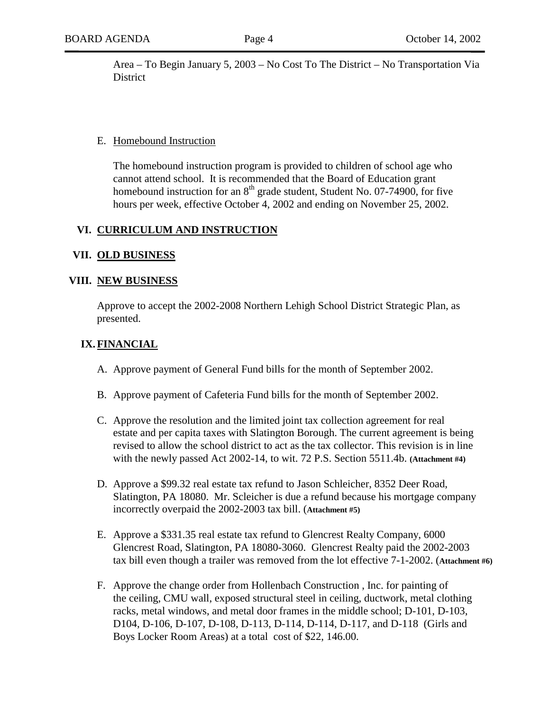Area – To Begin January 5, 2003 – No Cost To The District – No Transportation Via **District** 

#### E. Homebound Instruction

The homebound instruction program is provided to children of school age who cannot attend school. It is recommended that the Board of Education grant homebound instruction for an  $8<sup>th</sup>$  grade student, Student No. 07-74900, for five hours per week, effective October 4, 2002 and ending on November 25, 2002.

### **VI. CURRICULUM AND INSTRUCTION**

#### **VII. OLD BUSINESS**

#### **VIII. NEW BUSINESS**

Approve to accept the 2002-2008 Northern Lehigh School District Strategic Plan, as presented.

### **IX.FINANCIAL**

- A. Approve payment of General Fund bills for the month of September 2002.
- B. Approve payment of Cafeteria Fund bills for the month of September 2002.
- C. Approve the resolution and the limited joint tax collection agreement for real estate and per capita taxes with Slatington Borough. The current agreement is being revised to allow the school district to act as the tax collector. This revision is in line with the newly passed Act 2002-14, to wit. 72 P.S. Section 5511.4b. **(Attachment #4)**
- D. Approve a \$99.32 real estate tax refund to Jason Schleicher, 8352 Deer Road, Slatington, PA 18080. Mr. Scleicher is due a refund because his mortgage company incorrectly overpaid the 2002-2003 tax bill. (**Attachment #5)**
- E. Approve a \$331.35 real estate tax refund to Glencrest Realty Company, 6000 Glencrest Road, Slatington, PA 18080-3060. Glencrest Realty paid the 2002-2003 tax bill even though a trailer was removed from the lot effective 7-1-2002. (**Attachment #6)**
- F. Approve the change order from Hollenbach Construction , Inc. for painting of the ceiling, CMU wall, exposed structural steel in ceiling, ductwork, metal clothing racks, metal windows, and metal door frames in the middle school; D-101, D-103, D104, D-106, D-107, D-108, D-113, D-114, D-114, D-117, and D-118 (Girls and Boys Locker Room Areas) at a total cost of \$22, 146.00.